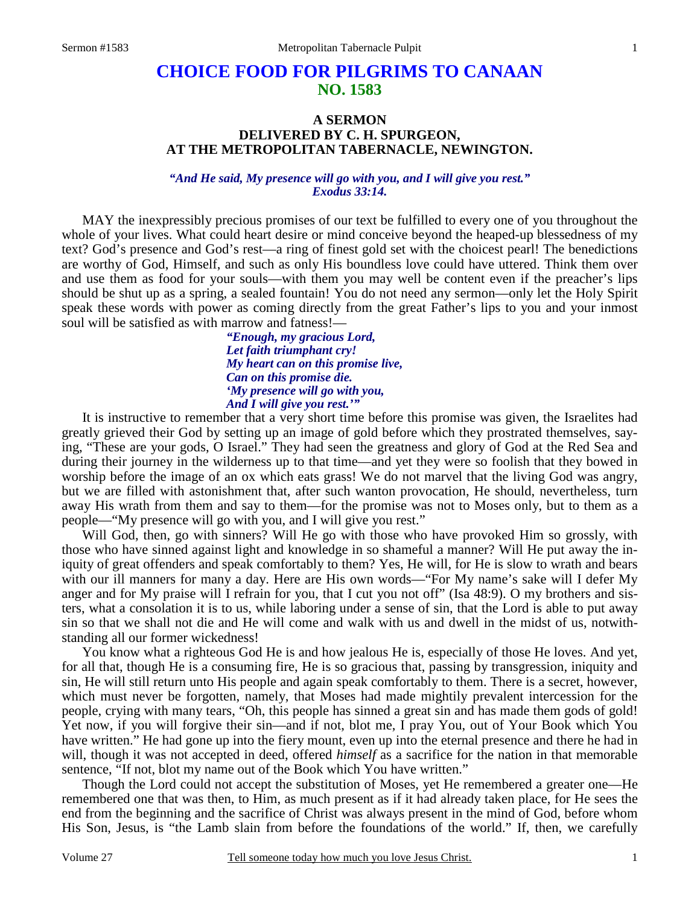## **CHOICE FOOD FOR PILGRIMS TO CANAAN NO. 1583**

## **A SERMON DELIVERED BY C. H. SPURGEON, AT THE METROPOLITAN TABERNACLE, NEWINGTON.**

## *"And He said, My presence will go with you, and I will give you rest." Exodus 33:14.*

MAY the inexpressibly precious promises of our text be fulfilled to every one of you throughout the whole of your lives. What could heart desire or mind conceive beyond the heaped-up blessedness of my text? God's presence and God's rest—a ring of finest gold set with the choicest pearl! The benedictions are worthy of God, Himself, and such as only His boundless love could have uttered. Think them over and use them as food for your souls—with them you may well be content even if the preacher's lips should be shut up as a spring, a sealed fountain! You do not need any sermon—only let the Holy Spirit speak these words with power as coming directly from the great Father's lips to you and your inmost soul will be satisfied as with marrow and fatness!—

> *"Enough, my gracious Lord, Let faith triumphant cry! My heart can on this promise live, Can on this promise die. 'My presence will go with you, And I will give you rest.'"*

It is instructive to remember that a very short time before this promise was given, the Israelites had greatly grieved their God by setting up an image of gold before which they prostrated themselves, saying, "These are your gods, O Israel." They had seen the greatness and glory of God at the Red Sea and during their journey in the wilderness up to that time—and yet they were so foolish that they bowed in worship before the image of an ox which eats grass! We do not marvel that the living God was angry, but we are filled with astonishment that, after such wanton provocation, He should, nevertheless, turn away His wrath from them and say to them—for the promise was not to Moses only, but to them as a people—"My presence will go with you, and I will give you rest."

 Will God, then, go with sinners? Will He go with those who have provoked Him so grossly, with those who have sinned against light and knowledge in so shameful a manner? Will He put away the iniquity of great offenders and speak comfortably to them? Yes, He will, for He is slow to wrath and bears with our ill manners for many a day. Here are His own words—"For My name's sake will I defer My anger and for My praise will I refrain for you, that I cut you not off" (Isa 48:9). O my brothers and sisters, what a consolation it is to us, while laboring under a sense of sin, that the Lord is able to put away sin so that we shall not die and He will come and walk with us and dwell in the midst of us, notwithstanding all our former wickedness!

 You know what a righteous God He is and how jealous He is, especially of those He loves. And yet, for all that, though He is a consuming fire, He is so gracious that, passing by transgression, iniquity and sin, He will still return unto His people and again speak comfortably to them. There is a secret, however, which must never be forgotten, namely, that Moses had made mightily prevalent intercession for the people, crying with many tears, "Oh, this people has sinned a great sin and has made them gods of gold! Yet now, if you will forgive their sin—and if not, blot me, I pray You, out of Your Book which You have written." He had gone up into the fiery mount, even up into the eternal presence and there he had in will, though it was not accepted in deed, offered *himself* as a sacrifice for the nation in that memorable sentence, "If not, blot my name out of the Book which You have written."

 Though the Lord could not accept the substitution of Moses, yet He remembered a greater one—He remembered one that was then, to Him, as much present as if it had already taken place, for He sees the end from the beginning and the sacrifice of Christ was always present in the mind of God, before whom His Son, Jesus, is "the Lamb slain from before the foundations of the world." If, then, we carefully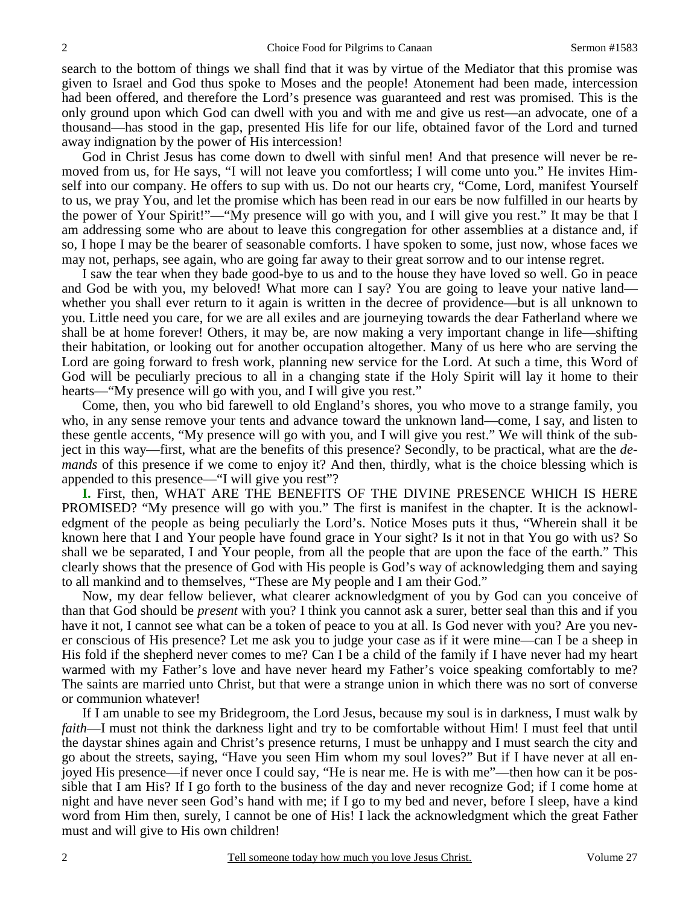search to the bottom of things we shall find that it was by virtue of the Mediator that this promise was given to Israel and God thus spoke to Moses and the people! Atonement had been made, intercession had been offered, and therefore the Lord's presence was guaranteed and rest was promised. This is the only ground upon which God can dwell with you and with me and give us rest—an advocate, one of a thousand—has stood in the gap, presented His life for our life, obtained favor of the Lord and turned away indignation by the power of His intercession!

 God in Christ Jesus has come down to dwell with sinful men! And that presence will never be removed from us, for He says, "I will not leave you comfortless; I will come unto you." He invites Himself into our company. He offers to sup with us. Do not our hearts cry, "Come, Lord, manifest Yourself to us, we pray You, and let the promise which has been read in our ears be now fulfilled in our hearts by the power of Your Spirit!"—"My presence will go with you, and I will give you rest." It may be that I am addressing some who are about to leave this congregation for other assemblies at a distance and, if so, I hope I may be the bearer of seasonable comforts. I have spoken to some, just now, whose faces we may not, perhaps, see again, who are going far away to their great sorrow and to our intense regret.

 I saw the tear when they bade good-bye to us and to the house they have loved so well. Go in peace and God be with you, my beloved! What more can I say? You are going to leave your native land whether you shall ever return to it again is written in the decree of providence—but is all unknown to you. Little need you care, for we are all exiles and are journeying towards the dear Fatherland where we shall be at home forever! Others, it may be, are now making a very important change in life—shifting their habitation, or looking out for another occupation altogether. Many of us here who are serving the Lord are going forward to fresh work, planning new service for the Lord. At such a time, this Word of God will be peculiarly precious to all in a changing state if the Holy Spirit will lay it home to their hearts—"My presence will go with you, and I will give you rest."

 Come, then, you who bid farewell to old England's shores, you who move to a strange family, you who, in any sense remove your tents and advance toward the unknown land—come, I say, and listen to these gentle accents, "My presence will go with you, and I will give you rest." We will think of the subject in this way—first, what are the benefits of this presence? Secondly, to be practical, what are the *demands* of this presence if we come to enjoy it? And then, thirdly, what is the choice blessing which is appended to this presence—"I will give you rest"?

**I.** First, then, WHAT ARE THE BENEFITS OF THE DIVINE PRESENCE WHICH IS HERE PROMISED? "My presence will go with you." The first is manifest in the chapter. It is the acknowledgment of the people as being peculiarly the Lord's. Notice Moses puts it thus, "Wherein shall it be known here that I and Your people have found grace in Your sight? Is it not in that You go with us? So shall we be separated, I and Your people, from all the people that are upon the face of the earth." This clearly shows that the presence of God with His people is God's way of acknowledging them and saying to all mankind and to themselves, "These are My people and I am their God."

 Now, my dear fellow believer, what clearer acknowledgment of you by God can you conceive of than that God should be *present* with you? I think you cannot ask a surer, better seal than this and if you have it not, I cannot see what can be a token of peace to you at all. Is God never with you? Are you never conscious of His presence? Let me ask you to judge your case as if it were mine—can I be a sheep in His fold if the shepherd never comes to me? Can I be a child of the family if I have never had my heart warmed with my Father's love and have never heard my Father's voice speaking comfortably to me? The saints are married unto Christ, but that were a strange union in which there was no sort of converse or communion whatever!

 If I am unable to see my Bridegroom, the Lord Jesus, because my soul is in darkness, I must walk by *faith*—I must not think the darkness light and try to be comfortable without Him! I must feel that until the daystar shines again and Christ's presence returns, I must be unhappy and I must search the city and go about the streets, saying, "Have you seen Him whom my soul loves?" But if I have never at all enjoyed His presence—if never once I could say, "He is near me. He is with me"—then how can it be possible that I am His? If I go forth to the business of the day and never recognize God; if I come home at night and have never seen God's hand with me; if I go to my bed and never, before I sleep, have a kind word from Him then, surely, I cannot be one of His! I lack the acknowledgment which the great Father must and will give to His own children!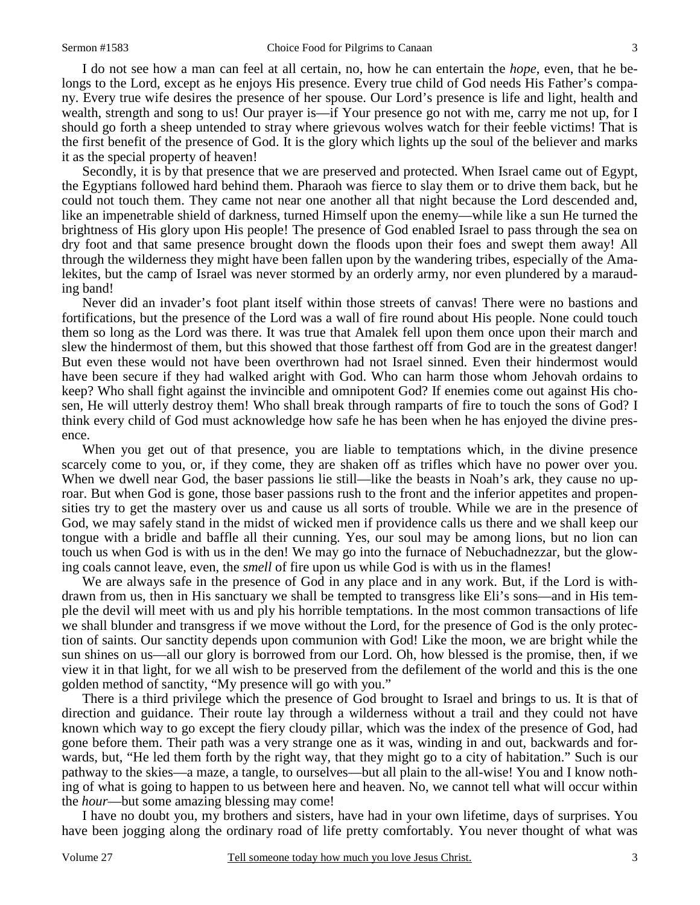I do not see how a man can feel at all certain, no, how he can entertain the *hope*, even, that he belongs to the Lord, except as he enjoys His presence. Every true child of God needs His Father's company. Every true wife desires the presence of her spouse. Our Lord's presence is life and light, health and wealth, strength and song to us! Our prayer is—if Your presence go not with me, carry me not up, for I should go forth a sheep untended to stray where grievous wolves watch for their feeble victims! That is the first benefit of the presence of God. It is the glory which lights up the soul of the believer and marks it as the special property of heaven!

 Secondly, it is by that presence that we are preserved and protected. When Israel came out of Egypt, the Egyptians followed hard behind them. Pharaoh was fierce to slay them or to drive them back, but he could not touch them. They came not near one another all that night because the Lord descended and, like an impenetrable shield of darkness, turned Himself upon the enemy—while like a sun He turned the brightness of His glory upon His people! The presence of God enabled Israel to pass through the sea on dry foot and that same presence brought down the floods upon their foes and swept them away! All through the wilderness they might have been fallen upon by the wandering tribes, especially of the Amalekites, but the camp of Israel was never stormed by an orderly army, nor even plundered by a marauding band!

 Never did an invader's foot plant itself within those streets of canvas! There were no bastions and fortifications, but the presence of the Lord was a wall of fire round about His people. None could touch them so long as the Lord was there. It was true that Amalek fell upon them once upon their march and slew the hindermost of them, but this showed that those farthest off from God are in the greatest danger! But even these would not have been overthrown had not Israel sinned. Even their hindermost would have been secure if they had walked aright with God. Who can harm those whom Jehovah ordains to keep? Who shall fight against the invincible and omnipotent God? If enemies come out against His chosen, He will utterly destroy them! Who shall break through ramparts of fire to touch the sons of God? I think every child of God must acknowledge how safe he has been when he has enjoyed the divine presence.

 When you get out of that presence, you are liable to temptations which, in the divine presence scarcely come to you, or, if they come, they are shaken off as trifles which have no power over you. When we dwell near God, the baser passions lie still—like the beasts in Noah's ark, they cause no uproar. But when God is gone, those baser passions rush to the front and the inferior appetites and propensities try to get the mastery over us and cause us all sorts of trouble. While we are in the presence of God, we may safely stand in the midst of wicked men if providence calls us there and we shall keep our tongue with a bridle and baffle all their cunning. Yes, our soul may be among lions, but no lion can touch us when God is with us in the den! We may go into the furnace of Nebuchadnezzar, but the glowing coals cannot leave, even, the *smell* of fire upon us while God is with us in the flames!

 We are always safe in the presence of God in any place and in any work. But, if the Lord is withdrawn from us, then in His sanctuary we shall be tempted to transgress like Eli's sons—and in His temple the devil will meet with us and ply his horrible temptations. In the most common transactions of life we shall blunder and transgress if we move without the Lord, for the presence of God is the only protection of saints. Our sanctity depends upon communion with God! Like the moon, we are bright while the sun shines on us—all our glory is borrowed from our Lord. Oh, how blessed is the promise, then, if we view it in that light, for we all wish to be preserved from the defilement of the world and this is the one golden method of sanctity, "My presence will go with you."

 There is a third privilege which the presence of God brought to Israel and brings to us. It is that of direction and guidance. Their route lay through a wilderness without a trail and they could not have known which way to go except the fiery cloudy pillar, which was the index of the presence of God, had gone before them. Their path was a very strange one as it was, winding in and out, backwards and forwards, but, "He led them forth by the right way, that they might go to a city of habitation." Such is our pathway to the skies—a maze, a tangle, to ourselves—but all plain to the all-wise! You and I know nothing of what is going to happen to us between here and heaven. No, we cannot tell what will occur within the *hour*—but some amazing blessing may come!

 I have no doubt you, my brothers and sisters, have had in your own lifetime, days of surprises. You have been jogging along the ordinary road of life pretty comfortably. You never thought of what was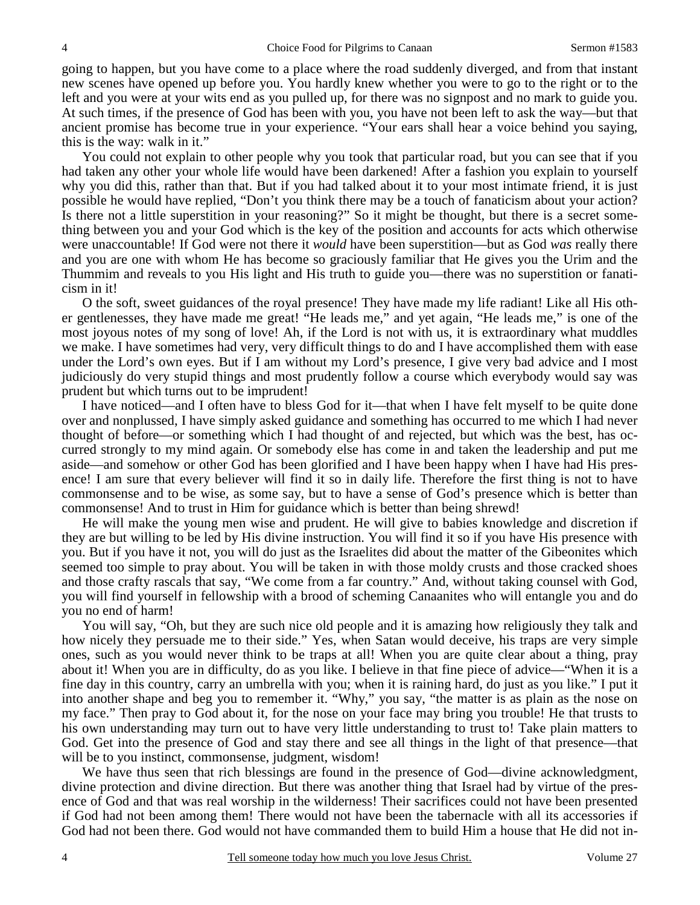going to happen, but you have come to a place where the road suddenly diverged, and from that instant new scenes have opened up before you. You hardly knew whether you were to go to the right or to the left and you were at your wits end as you pulled up, for there was no signpost and no mark to guide you. At such times, if the presence of God has been with you, you have not been left to ask the way—but that ancient promise has become true in your experience. "Your ears shall hear a voice behind you saying, this is the way: walk in it."

 You could not explain to other people why you took that particular road, but you can see that if you had taken any other your whole life would have been darkened! After a fashion you explain to yourself why you did this, rather than that. But if you had talked about it to your most intimate friend, it is just possible he would have replied, "Don't you think there may be a touch of fanaticism about your action? Is there not a little superstition in your reasoning?" So it might be thought, but there is a secret something between you and your God which is the key of the position and accounts for acts which otherwise were unaccountable! If God were not there it *would* have been superstition—but as God *was* really there and you are one with whom He has become so graciously familiar that He gives you the Urim and the Thummim and reveals to you His light and His truth to guide you—there was no superstition or fanaticism in it!

 O the soft, sweet guidances of the royal presence! They have made my life radiant! Like all His other gentlenesses, they have made me great! "He leads me," and yet again, "He leads me," is one of the most joyous notes of my song of love! Ah, if the Lord is not with us, it is extraordinary what muddles we make. I have sometimes had very, very difficult things to do and I have accomplished them with ease under the Lord's own eyes. But if I am without my Lord's presence, I give very bad advice and I most judiciously do very stupid things and most prudently follow a course which everybody would say was prudent but which turns out to be imprudent!

 I have noticed—and I often have to bless God for it—that when I have felt myself to be quite done over and nonplussed, I have simply asked guidance and something has occurred to me which I had never thought of before—or something which I had thought of and rejected, but which was the best, has occurred strongly to my mind again. Or somebody else has come in and taken the leadership and put me aside—and somehow or other God has been glorified and I have been happy when I have had His presence! I am sure that every believer will find it so in daily life. Therefore the first thing is not to have commonsense and to be wise, as some say, but to have a sense of God's presence which is better than commonsense! And to trust in Him for guidance which is better than being shrewd!

 He will make the young men wise and prudent. He will give to babies knowledge and discretion if they are but willing to be led by His divine instruction. You will find it so if you have His presence with you. But if you have it not, you will do just as the Israelites did about the matter of the Gibeonites which seemed too simple to pray about. You will be taken in with those moldy crusts and those cracked shoes and those crafty rascals that say, "We come from a far country." And, without taking counsel with God, you will find yourself in fellowship with a brood of scheming Canaanites who will entangle you and do you no end of harm!

 You will say, "Oh, but they are such nice old people and it is amazing how religiously they talk and how nicely they persuade me to their side." Yes, when Satan would deceive, his traps are very simple ones, such as you would never think to be traps at all! When you are quite clear about a thing, pray about it! When you are in difficulty, do as you like. I believe in that fine piece of advice—"When it is a fine day in this country, carry an umbrella with you; when it is raining hard, do just as you like." I put it into another shape and beg you to remember it. "Why," you say, "the matter is as plain as the nose on my face." Then pray to God about it, for the nose on your face may bring you trouble! He that trusts to his own understanding may turn out to have very little understanding to trust to! Take plain matters to God. Get into the presence of God and stay there and see all things in the light of that presence—that will be to you instinct, commonsense, judgment, wisdom!

 We have thus seen that rich blessings are found in the presence of God—divine acknowledgment, divine protection and divine direction. But there was another thing that Israel had by virtue of the presence of God and that was real worship in the wilderness! Their sacrifices could not have been presented if God had not been among them! There would not have been the tabernacle with all its accessories if God had not been there. God would not have commanded them to build Him a house that He did not in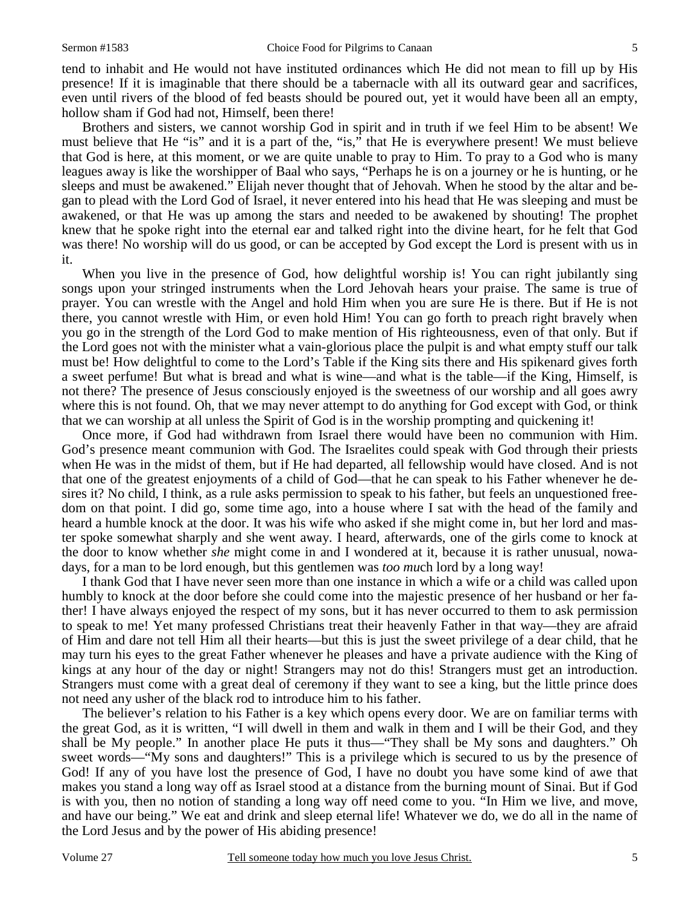tend to inhabit and He would not have instituted ordinances which He did not mean to fill up by His presence! If it is imaginable that there should be a tabernacle with all its outward gear and sacrifices, even until rivers of the blood of fed beasts should be poured out, yet it would have been all an empty, hollow sham if God had not, Himself, been there!

 Brothers and sisters, we cannot worship God in spirit and in truth if we feel Him to be absent! We must believe that He "is" and it is a part of the, "is," that He is everywhere present! We must believe that God is here, at this moment, or we are quite unable to pray to Him. To pray to a God who is many leagues away is like the worshipper of Baal who says, "Perhaps he is on a journey or he is hunting, or he sleeps and must be awakened." Elijah never thought that of Jehovah. When he stood by the altar and began to plead with the Lord God of Israel, it never entered into his head that He was sleeping and must be awakened, or that He was up among the stars and needed to be awakened by shouting! The prophet knew that he spoke right into the eternal ear and talked right into the divine heart, for he felt that God was there! No worship will do us good, or can be accepted by God except the Lord is present with us in it.

When you live in the presence of God, how delightful worship is! You can right jubilantly sing songs upon your stringed instruments when the Lord Jehovah hears your praise. The same is true of prayer. You can wrestle with the Angel and hold Him when you are sure He is there. But if He is not there, you cannot wrestle with Him, or even hold Him! You can go forth to preach right bravely when you go in the strength of the Lord God to make mention of His righteousness, even of that only. But if the Lord goes not with the minister what a vain-glorious place the pulpit is and what empty stuff our talk must be! How delightful to come to the Lord's Table if the King sits there and His spikenard gives forth a sweet perfume! But what is bread and what is wine—and what is the table—if the King, Himself, is not there? The presence of Jesus consciously enjoyed is the sweetness of our worship and all goes awry where this is not found. Oh, that we may never attempt to do anything for God except with God, or think that we can worship at all unless the Spirit of God is in the worship prompting and quickening it!

 Once more, if God had withdrawn from Israel there would have been no communion with Him. God's presence meant communion with God. The Israelites could speak with God through their priests when He was in the midst of them, but if He had departed, all fellowship would have closed. And is not that one of the greatest enjoyments of a child of God—that he can speak to his Father whenever he desires it? No child, I think, as a rule asks permission to speak to his father, but feels an unquestioned freedom on that point. I did go, some time ago, into a house where I sat with the head of the family and heard a humble knock at the door. It was his wife who asked if she might come in, but her lord and master spoke somewhat sharply and she went away. I heard, afterwards, one of the girls come to knock at the door to know whether *she* might come in and I wondered at it, because it is rather unusual, nowadays, for a man to be lord enough, but this gentlemen was *too mu*ch lord by a long way!

 I thank God that I have never seen more than one instance in which a wife or a child was called upon humbly to knock at the door before she could come into the majestic presence of her husband or her father! I have always enjoyed the respect of my sons, but it has never occurred to them to ask permission to speak to me! Yet many professed Christians treat their heavenly Father in that way—they are afraid of Him and dare not tell Him all their hearts—but this is just the sweet privilege of a dear child, that he may turn his eyes to the great Father whenever he pleases and have a private audience with the King of kings at any hour of the day or night! Strangers may not do this! Strangers must get an introduction. Strangers must come with a great deal of ceremony if they want to see a king, but the little prince does not need any usher of the black rod to introduce him to his father.

 The believer's relation to his Father is a key which opens every door. We are on familiar terms with the great God, as it is written, "I will dwell in them and walk in them and I will be their God, and they shall be My people." In another place He puts it thus—"They shall be My sons and daughters." Oh sweet words—"My sons and daughters!" This is a privilege which is secured to us by the presence of God! If any of you have lost the presence of God, I have no doubt you have some kind of awe that makes you stand a long way off as Israel stood at a distance from the burning mount of Sinai. But if God is with you, then no notion of standing a long way off need come to you. "In Him we live, and move, and have our being." We eat and drink and sleep eternal life! Whatever we do, we do all in the name of the Lord Jesus and by the power of His abiding presence!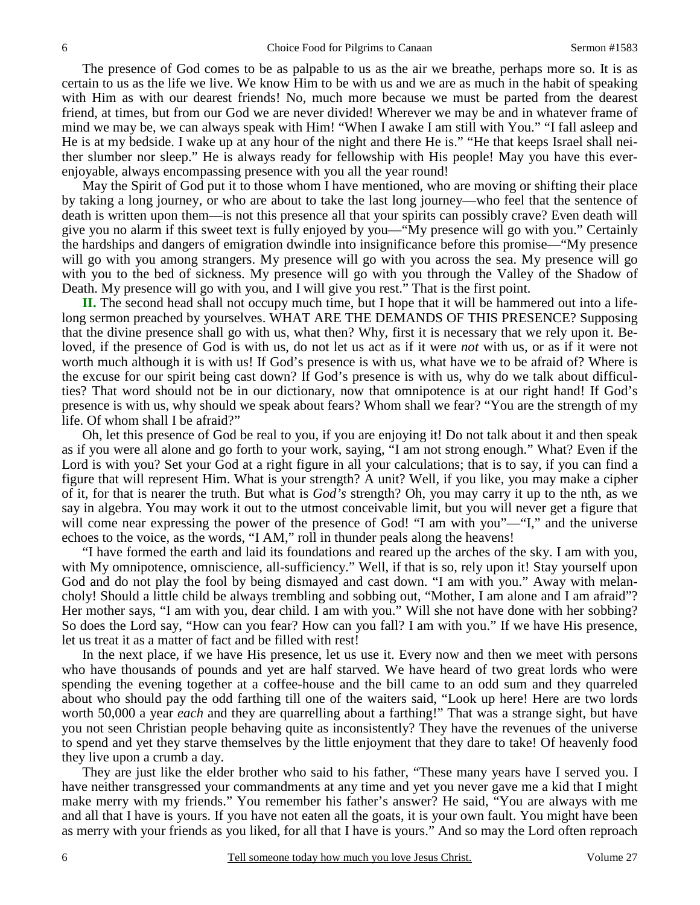The presence of God comes to be as palpable to us as the air we breathe, perhaps more so. It is as certain to us as the life we live. We know Him to be with us and we are as much in the habit of speaking with Him as with our dearest friends! No, much more because we must be parted from the dearest friend, at times, but from our God we are never divided! Wherever we may be and in whatever frame of mind we may be, we can always speak with Him! "When I awake I am still with You." "I fall asleep and He is at my bedside. I wake up at any hour of the night and there He is." "He that keeps Israel shall neither slumber nor sleep." He is always ready for fellowship with His people! May you have this everenjoyable, always encompassing presence with you all the year round!

 May the Spirit of God put it to those whom I have mentioned, who are moving or shifting their place by taking a long journey, or who are about to take the last long journey—who feel that the sentence of death is written upon them—is not this presence all that your spirits can possibly crave? Even death will give you no alarm if this sweet text is fully enjoyed by you—"My presence will go with you." Certainly the hardships and dangers of emigration dwindle into insignificance before this promise—"My presence will go with you among strangers. My presence will go with you across the sea. My presence will go with you to the bed of sickness. My presence will go with you through the Valley of the Shadow of Death. My presence will go with you, and I will give you rest." That is the first point.

**II.** The second head shall not occupy much time, but I hope that it will be hammered out into a lifelong sermon preached by yourselves. WHAT ARE THE DEMANDS OF THIS PRESENCE? Supposing that the divine presence shall go with us, what then? Why, first it is necessary that we rely upon it. Beloved, if the presence of God is with us, do not let us act as if it were *not* with us, or as if it were not worth much although it is with us! If God's presence is with us, what have we to be afraid of? Where is the excuse for our spirit being cast down? If God's presence is with us, why do we talk about difficulties? That word should not be in our dictionary, now that omnipotence is at our right hand! If God's presence is with us, why should we speak about fears? Whom shall we fear? "You are the strength of my life. Of whom shall I be afraid?"

 Oh, let this presence of God be real to you, if you are enjoying it! Do not talk about it and then speak as if you were all alone and go forth to your work, saying, "I am not strong enough." What? Even if the Lord is with you? Set your God at a right figure in all your calculations; that is to say, if you can find a figure that will represent Him. What is your strength? A unit? Well, if you like, you may make a cipher of it, for that is nearer the truth. But what is *God's* strength? Oh, you may carry it up to the nth, as we say in algebra. You may work it out to the utmost conceivable limit, but you will never get a figure that will come near expressing the power of the presence of God! "I am with you"—"I," and the universe echoes to the voice, as the words, "I AM," roll in thunder peals along the heavens!

 "I have formed the earth and laid its foundations and reared up the arches of the sky. I am with you, with My omnipotence, omniscience, all-sufficiency." Well, if that is so, rely upon it! Stay yourself upon God and do not play the fool by being dismayed and cast down. "I am with you." Away with melancholy! Should a little child be always trembling and sobbing out, "Mother, I am alone and I am afraid"? Her mother says, "I am with you, dear child. I am with you." Will she not have done with her sobbing? So does the Lord say, "How can you fear? How can you fall? I am with you." If we have His presence, let us treat it as a matter of fact and be filled with rest!

 In the next place, if we have His presence, let us use it. Every now and then we meet with persons who have thousands of pounds and yet are half starved. We have heard of two great lords who were spending the evening together at a coffee-house and the bill came to an odd sum and they quarreled about who should pay the odd farthing till one of the waiters said, "Look up here! Here are two lords worth 50,000 a year *each* and they are quarrelling about a farthing!" That was a strange sight, but have you not seen Christian people behaving quite as inconsistently? They have the revenues of the universe to spend and yet they starve themselves by the little enjoyment that they dare to take! Of heavenly food they live upon a crumb a day.

 They are just like the elder brother who said to his father, "These many years have I served you. I have neither transgressed your commandments at any time and yet you never gave me a kid that I might make merry with my friends." You remember his father's answer? He said, "You are always with me and all that I have is yours. If you have not eaten all the goats, it is your own fault. You might have been as merry with your friends as you liked, for all that I have is yours." And so may the Lord often reproach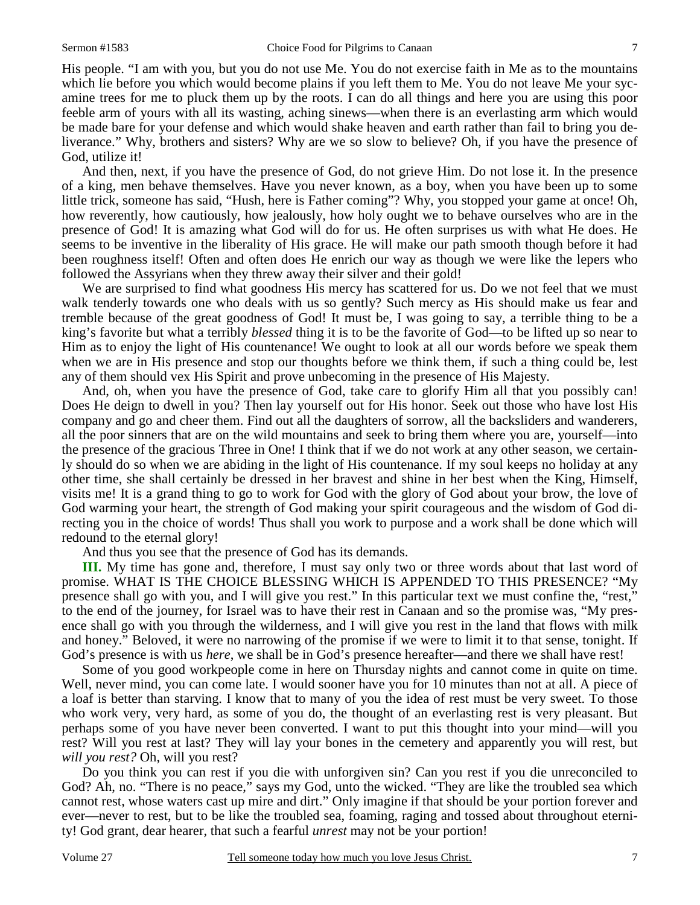His people. "I am with you, but you do not use Me. You do not exercise faith in Me as to the mountains which lie before you which would become plains if you left them to Me. You do not leave Me your sycamine trees for me to pluck them up by the roots. I can do all things and here you are using this poor feeble arm of yours with all its wasting, aching sinews—when there is an everlasting arm which would be made bare for your defense and which would shake heaven and earth rather than fail to bring you deliverance." Why, brothers and sisters? Why are we so slow to believe? Oh, if you have the presence of God, utilize it!

 And then, next, if you have the presence of God, do not grieve Him. Do not lose it. In the presence of a king, men behave themselves. Have you never known, as a boy, when you have been up to some little trick, someone has said, "Hush, here is Father coming"? Why, you stopped your game at once! Oh, how reverently, how cautiously, how jealously, how holy ought we to behave ourselves who are in the presence of God! It is amazing what God will do for us. He often surprises us with what He does. He seems to be inventive in the liberality of His grace. He will make our path smooth though before it had been roughness itself! Often and often does He enrich our way as though we were like the lepers who followed the Assyrians when they threw away their silver and their gold!

 We are surprised to find what goodness His mercy has scattered for us. Do we not feel that we must walk tenderly towards one who deals with us so gently? Such mercy as His should make us fear and tremble because of the great goodness of God! It must be, I was going to say, a terrible thing to be a king's favorite but what a terribly *blessed* thing it is to be the favorite of God—to be lifted up so near to Him as to enjoy the light of His countenance! We ought to look at all our words before we speak them when we are in His presence and stop our thoughts before we think them, if such a thing could be, lest any of them should vex His Spirit and prove unbecoming in the presence of His Majesty.

 And, oh, when you have the presence of God, take care to glorify Him all that you possibly can! Does He deign to dwell in you? Then lay yourself out for His honor. Seek out those who have lost His company and go and cheer them. Find out all the daughters of sorrow, all the backsliders and wanderers, all the poor sinners that are on the wild mountains and seek to bring them where you are, yourself—into the presence of the gracious Three in One! I think that if we do not work at any other season, we certainly should do so when we are abiding in the light of His countenance. If my soul keeps no holiday at any other time, she shall certainly be dressed in her bravest and shine in her best when the King, Himself, visits me! It is a grand thing to go to work for God with the glory of God about your brow, the love of God warming your heart, the strength of God making your spirit courageous and the wisdom of God directing you in the choice of words! Thus shall you work to purpose and a work shall be done which will redound to the eternal glory!

And thus you see that the presence of God has its demands.

**III.** My time has gone and, therefore, I must say only two or three words about that last word of promise. WHAT IS THE CHOICE BLESSING WHICH IS APPENDED TO THIS PRESENCE? "My presence shall go with you, and I will give you rest." In this particular text we must confine the, "rest," to the end of the journey, for Israel was to have their rest in Canaan and so the promise was, "My presence shall go with you through the wilderness, and I will give you rest in the land that flows with milk and honey." Beloved, it were no narrowing of the promise if we were to limit it to that sense, tonight. If God's presence is with us *here*, we shall be in God's presence hereafter—and there we shall have rest!

 Some of you good workpeople come in here on Thursday nights and cannot come in quite on time. Well, never mind, you can come late. I would sooner have you for 10 minutes than not at all. A piece of a loaf is better than starving. I know that to many of you the idea of rest must be very sweet. To those who work very, very hard, as some of you do, the thought of an everlasting rest is very pleasant. But perhaps some of you have never been converted. I want to put this thought into your mind—will you rest? Will you rest at last? They will lay your bones in the cemetery and apparently you will rest, but *will you rest?* Oh, will you rest?

 Do you think you can rest if you die with unforgiven sin? Can you rest if you die unreconciled to God? Ah, no. "There is no peace," says my God, unto the wicked. "They are like the troubled sea which cannot rest, whose waters cast up mire and dirt." Only imagine if that should be your portion forever and ever—never to rest, but to be like the troubled sea, foaming, raging and tossed about throughout eternity! God grant, dear hearer, that such a fearful *unrest* may not be your portion!